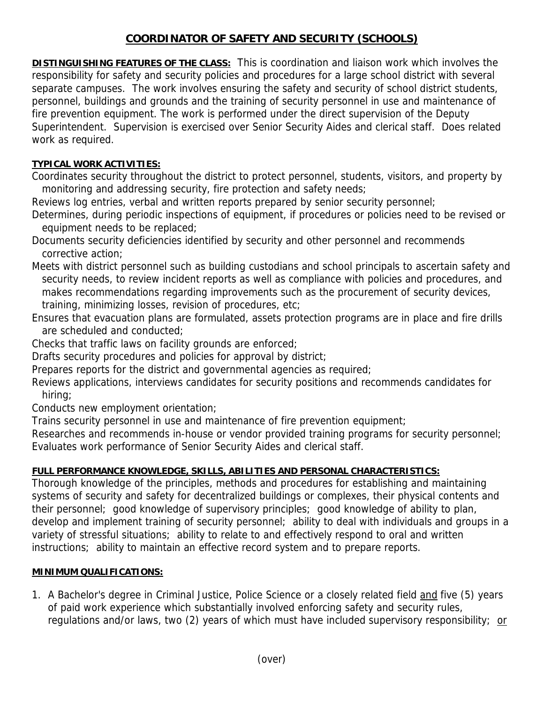## **COORDINATOR OF SAFETY AND SECURITY (SCHOOLS)**

**DISTINGUISHING FEATURES OF THE CLASS:** This is coordination and liaison work which involves the responsibility for safety and security policies and procedures for a large school district with several separate campuses. The work involves ensuring the safety and security of school district students, personnel, buildings and grounds and the training of security personnel in use and maintenance of fire prevention equipment. The work is performed under the direct supervision of the Deputy Superintendent. Supervision is exercised over Senior Security Aides and clerical staff. Does related work as required.

## **TYPICAL WORK ACTIVITIES:**

Coordinates security throughout the district to protect personnel, students, visitors, and property by monitoring and addressing security, fire protection and safety needs;

Reviews log entries, verbal and written reports prepared by senior security personnel;

Determines, during periodic inspections of equipment, if procedures or policies need to be revised or equipment needs to be replaced;

Documents security deficiencies identified by security and other personnel and recommends corrective action;

Meets with district personnel such as building custodians and school principals to ascertain safety and security needs, to review incident reports as well as compliance with policies and procedures, and makes recommendations regarding improvements such as the procurement of security devices, training, minimizing losses, revision of procedures, etc;

Ensures that evacuation plans are formulated, assets protection programs are in place and fire drills are scheduled and conducted;

Checks that traffic laws on facility grounds are enforced;

Drafts security procedures and policies for approval by district;

Prepares reports for the district and governmental agencies as required;

Reviews applications, interviews candidates for security positions and recommends candidates for hiring;

Conducts new employment orientation;

Trains security personnel in use and maintenance of fire prevention equipment;

Researches and recommends in-house or vendor provided training programs for security personnel; Evaluates work performance of Senior Security Aides and clerical staff.

## **FULL PERFORMANCE KNOWLEDGE, SKILLS, ABILITIES AND PERSONAL CHARACTERISTICS:**

Thorough knowledge of the principles, methods and procedures for establishing and maintaining systems of security and safety for decentralized buildings or complexes, their physical contents and their personnel; good knowledge of supervisory principles; good knowledge of ability to plan, develop and implement training of security personnel; ability to deal with individuals and groups in a variety of stressful situations; ability to relate to and effectively respond to oral and written instructions; ability to maintain an effective record system and to prepare reports.

## **MINIMUM QUALIFICATIONS:**

1. A Bachelor's degree in Criminal Justice, Police Science or a closely related field and five (5) years of paid work experience which substantially involved enforcing safety and security rules, regulations and/or laws, two (2) years of which must have included supervisory responsibility; or